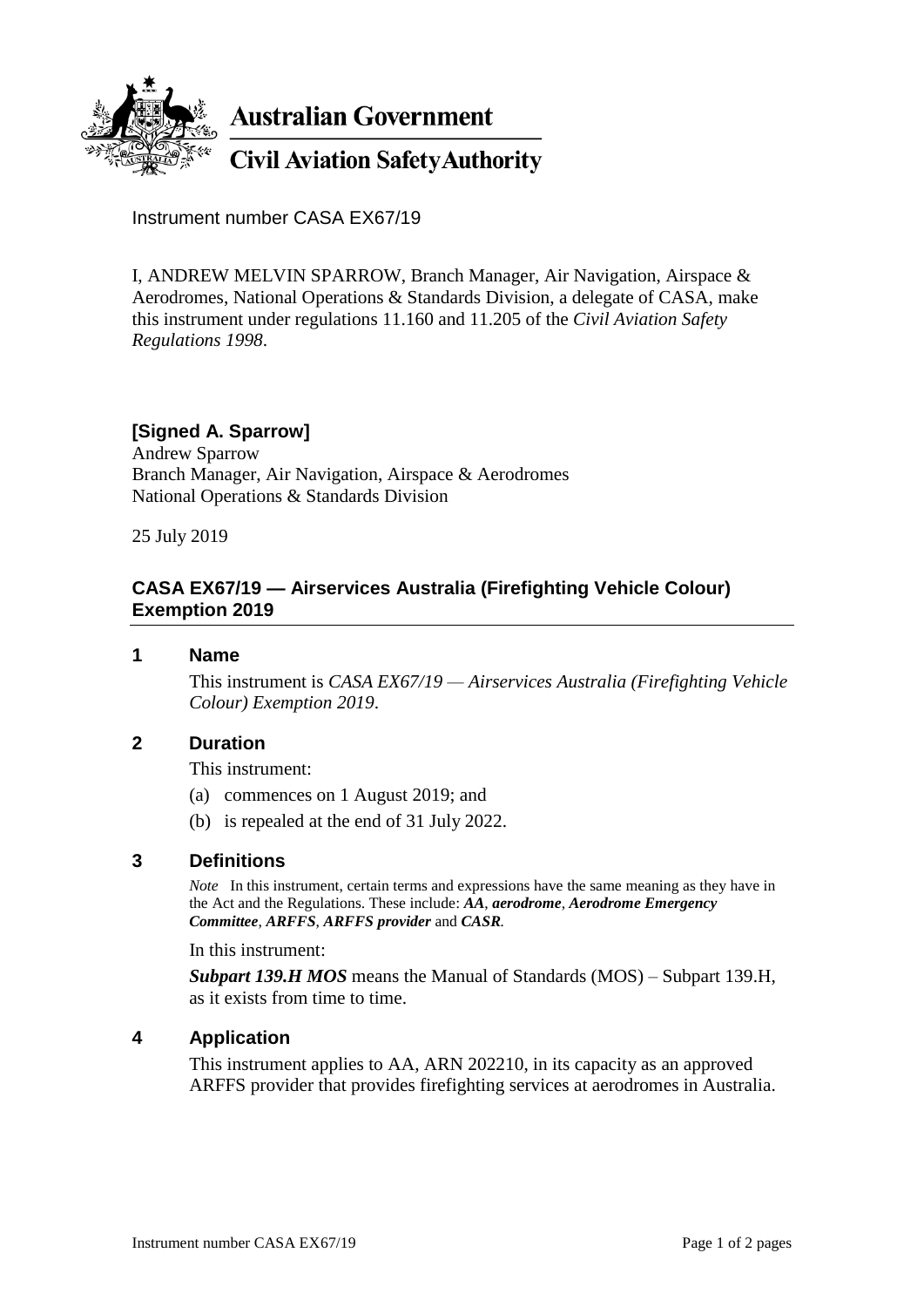

Instrument number CASA EX67/19

I, ANDREW MELVIN SPARROW, Branch Manager, Air Navigation, Airspace & Aerodromes, National Operations & Standards Division, a delegate of CASA, make this instrument under regulations 11.160 and 11.205 of the *Civil Aviation Safety Regulations 1998*.

# **[Signed A. Sparrow]**

Andrew Sparrow Branch Manager, Air Navigation, Airspace & Aerodromes National Operations & Standards Division

25 July 2019

# **CASA EX67/19 — Airservices Australia (Firefighting Vehicle Colour) Exemption 2019**

#### **1 Name**

This instrument is *CASA EX67/19 — Airservices Australia (Firefighting Vehicle Colour) Exemption 2019*.

### **2 Duration**

This instrument:

- (a) commences on 1 August 2019; and
- (b) is repealed at the end of 31 July 2022.

### **3 Definitions**

*Note* In this instrument, certain terms and expressions have the same meaning as they have in the Act and the Regulations. These include: *AA*, *aerodrome*, *Aerodrome Emergency Committee*, *ARFFS*, *ARFFS provider* and *CASR.*

In this instrument:

*Subpart 139.H MOS* means the Manual of Standards (MOS) – Subpart 139.H, as it exists from time to time.

### **4 Application**

This instrument applies to AA, ARN 202210, in its capacity as an approved ARFFS provider that provides firefighting services at aerodromes in Australia.